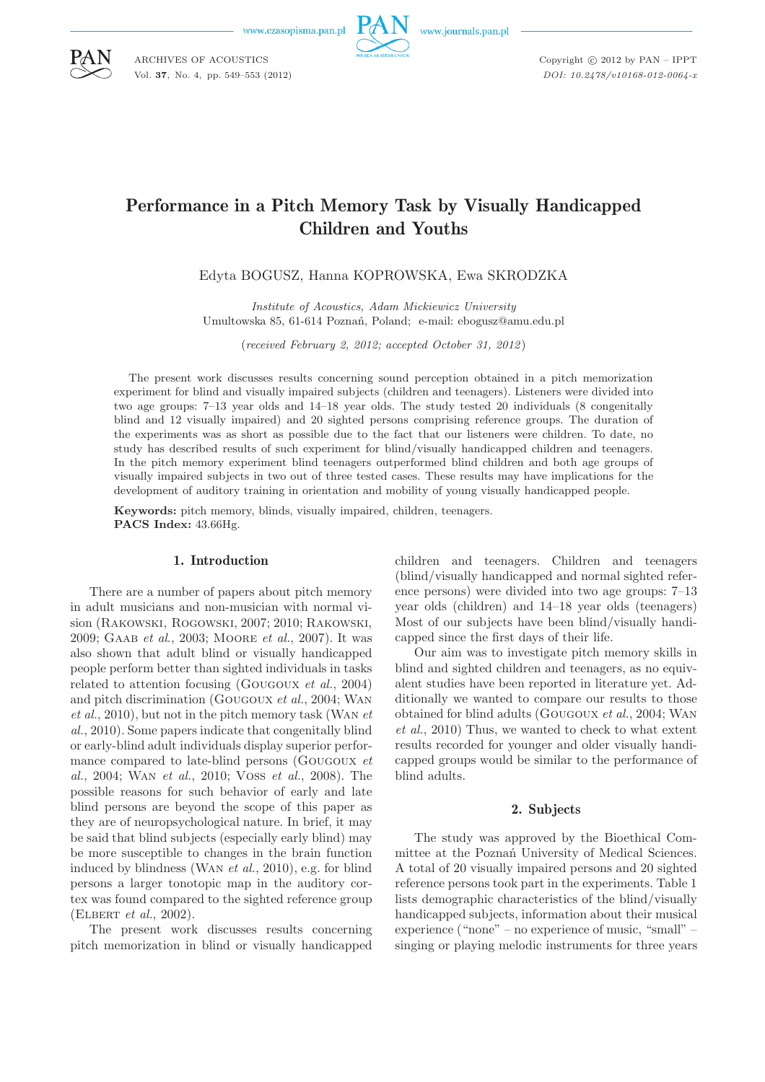ARCHIVES OF ACOUSTICS Vol. **37**, No. 4, pp. 549–553 (2012)



www.journals.pan.pl

Copyright  $\odot$  2012 by PAN - IPPT *DOI: 10.2478/v10168-012-0064-x*

# Performance in a Pitch Memory Task by Visually Handicapped Children and Youths

Edyta BOGUSZ, Hanna KOPROWSKA, Ewa SKRODZKA

*Institute of Acoustics, Adam Mickiewicz University* Umultowska 85, 61-614 Poznań, Poland; e-mail: ebogusz@amu.edu.pl

(*received February 2, 2012; accepted October 31, 2012*)

The present work discusses results concerning sound perception obtained in a pitch memorization experiment for blind and visually impaired subjects (children and teenagers). Listeners were divided into two age groups: 7–13 year olds and 14–18 year olds. The study tested 20 individuals (8 congenitally blind and 12 visually impaired) and 20 sighted persons comprising reference groups. The duration of the experiments was as short as possible due to the fact that our listeners were children. To date, no study has described results of such experiment for blind/visually handicapped children and teenagers. In the pitch memory experiment blind teenagers outperformed blind children and both age groups of visually impaired subjects in two out of three tested cases. These results may have implications for the development of auditory training in orientation and mobility of young visually handicapped people.

**Keywords:** pitch memory, blinds, visually impaired, children, teenagers. **PACS Index:** 43.66Hg.

## 1. Introduction

There are a number of papers about pitch memory in adult musicians and non-musician with normal vision (Rakowski, Rogowski, 2007; 2010; Rakowski, 2009; Gaab *et al*., 2003; Moore *et al.*, 2007). It was also shown that adult blind or visually handicapped people perform better than sighted individuals in tasks related to attention focusing (Gougoux *et al.*, 2004) and pitch discrimination (Gougoux *et al.*, 2004; Wan *et al.*, 2010), but not in the pitch memory task (Wan *et al.*, 2010). Some papers indicate that congenitally blind or early-blind adult individuals display superior performance compared to late-blind persons (Gougoux *et al.*, 2004; Wan *et al.*, 2010; Voss *et al.*, 2008). The possible reasons for such behavior of early and late blind persons are beyond the scope of this paper as they are of neuropsychological nature. In brief, it may be said that blind subjects (especially early blind) may be more susceptible to changes in the brain function induced by blindness (Wan *et al.*, 2010), e.g. for blind persons a larger tonotopic map in the auditory cortex was found compared to the sighted reference group (Elbert *et al.*, 2002).

The present work discusses results concerning pitch memorization in blind or visually handicapped children and teenagers. Children and teenagers (blind/visually handicapped and normal sighted reference persons) were divided into two age groups: 7–13 year olds (children) and 14–18 year olds (teenagers) Most of our subjects have been blind/visually handicapped since the first days of their life.

Our aim was to investigate pitch memory skills in blind and sighted children and teenagers, as no equivalent studies have been reported in literature yet. Additionally we wanted to compare our results to those obtained for blind adults (Gougoux *et al.*, 2004; Wan *et al.*, 2010) Thus, we wanted to check to what extent results recorded for younger and older visually handicapped groups would be similar to the performance of blind adults.

## 2. Subjects

The study was approved by the Bioethical Committee at the Poznań University of Medical Sciences. A total of 20 visually impaired persons and 20 sighted reference persons took part in the experiments. Table 1 lists demographic characteristics of the blind/visually handicapped subjects, information about their musical experience ("none" – no experience of music, "small" – singing or playing melodic instruments for three years

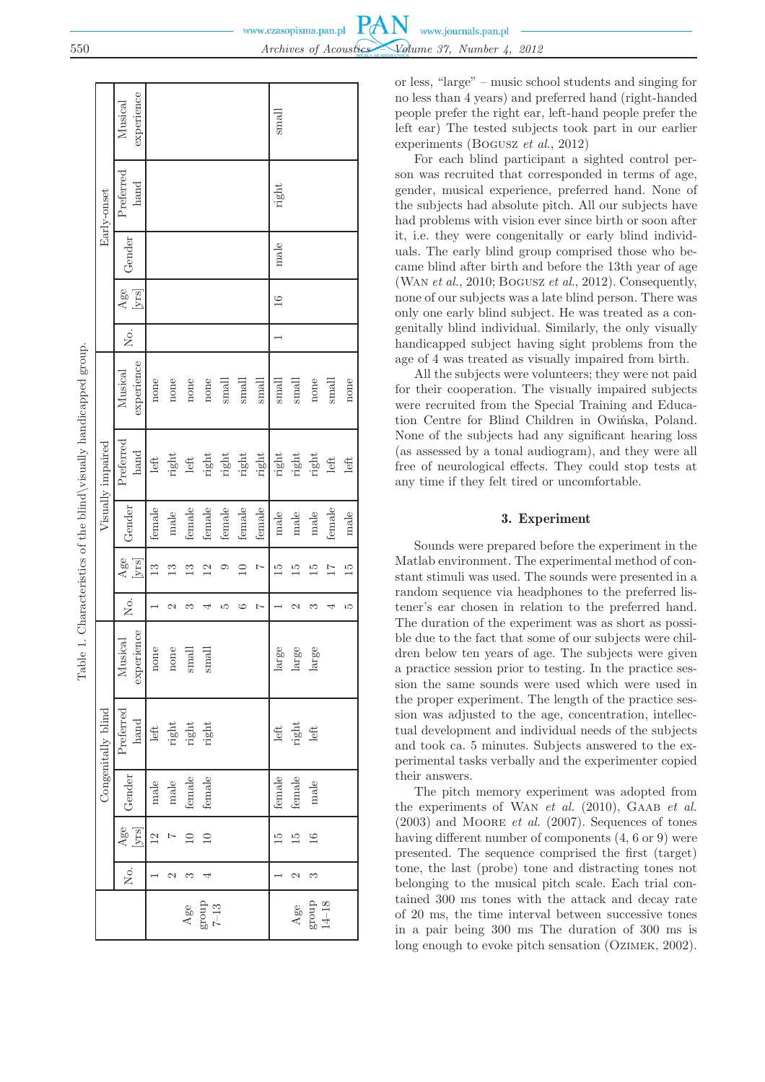| Table 1. Characteristics of the blind\visually handicapped group. | Early-onset<br>Visually impaired | Musical<br>Preferred<br>Gender<br>Age<br>Йo.<br>Musical<br>Preferred<br>Gender<br>Age<br>Σó.<br>Musical | experience<br>hand<br>[yrs]<br>experience<br>hand<br>yrs | none<br>left<br>female<br>13<br>none | none<br>right<br>male<br>$\frac{3}{1}$<br>2<br>none | none<br>left<br>female<br>$\mathbb{C}$<br>ಌ<br>$\operatorname{smal}$ | none<br>right<br>female<br>12<br>$s$ mall | small<br>right<br>female<br>⊝<br>ഥ | small<br>right<br>female<br>10<br>ు | small<br>$\operatorname{right}$<br>female<br>$\overline{ }$<br>V | $s$ mall<br>right<br>male<br>16<br>small<br>right<br>male<br>$\frac{5}{2}$<br>large | small<br>right<br>$_{\rm male}$<br>$\frac{5}{1}$<br>2 | none<br>right<br>male<br>ГŌ<br>ಌ<br>large                    | small<br>left<br>female<br>17 | none<br>left<br>male<br>15<br>ഥ |
|-------------------------------------------------------------------|----------------------------------|---------------------------------------------------------------------------------------------------------|----------------------------------------------------------|--------------------------------------|-----------------------------------------------------|----------------------------------------------------------------------|-------------------------------------------|------------------------------------|-------------------------------------|------------------------------------------------------------------|-------------------------------------------------------------------------------------|-------------------------------------------------------|--------------------------------------------------------------|-------------------------------|---------------------------------|
|                                                                   |                                  |                                                                                                         |                                                          |                                      |                                                     |                                                                      |                                           |                                    |                                     |                                                                  |                                                                                     |                                                       |                                                              |                               |                                 |
|                                                                   |                                  |                                                                                                         |                                                          |                                      |                                                     |                                                                      |                                           |                                    |                                     |                                                                  |                                                                                     |                                                       |                                                              |                               |                                 |
|                                                                   |                                  |                                                                                                         |                                                          |                                      |                                                     |                                                                      |                                           |                                    |                                     |                                                                  |                                                                                     |                                                       |                                                              |                               |                                 |
|                                                                   |                                  |                                                                                                         |                                                          |                                      |                                                     |                                                                      |                                           |                                    |                                     |                                                                  |                                                                                     |                                                       |                                                              |                               |                                 |
|                                                                   |                                  |                                                                                                         |                                                          |                                      |                                                     |                                                                      |                                           |                                    |                                     |                                                                  |                                                                                     |                                                       |                                                              |                               |                                 |
|                                                                   |                                  |                                                                                                         |                                                          |                                      |                                                     |                                                                      |                                           |                                    |                                     |                                                                  |                                                                                     |                                                       |                                                              |                               |                                 |
|                                                                   |                                  |                                                                                                         |                                                          |                                      |                                                     |                                                                      |                                           |                                    |                                     |                                                                  |                                                                                     |                                                       |                                                              |                               |                                 |
|                                                                   | Congenitally blind               |                                                                                                         | experience                                               |                                      |                                                     |                                                                      |                                           |                                    |                                     |                                                                  |                                                                                     | large                                                 |                                                              |                               |                                 |
|                                                                   |                                  | Preferred                                                                                               | hand                                                     | $_{\rm left}$                        | $\operatorname{right}$                              | $\begin{array}{c} \mathbf{right} \\ \mathbf{right} \end{array}$      |                                           |                                    |                                     |                                                                  | left                                                                                | $\operatorname{right}$                                | left                                                         |                               |                                 |
|                                                                   |                                  | Gender                                                                                                  |                                                          | male                                 | male                                                | female                                                               | female                                    |                                    |                                     |                                                                  | female                                                                              | female                                                | male                                                         |                               |                                 |
|                                                                   |                                  | Age                                                                                                     | [yrs]                                                    | 12                                   |                                                     | $\supseteq$                                                          | $\overline{10}$                           |                                    |                                     |                                                                  | $\frac{5}{1}$                                                                       | $\frac{5}{1}$                                         | $\frac{6}{1}$                                                |                               |                                 |
|                                                                   |                                  | Σó.                                                                                                     |                                                          |                                      | 2                                                   | S                                                                    | 4                                         |                                    |                                     |                                                                  |                                                                                     | 2                                                     | S                                                            |                               |                                 |
|                                                                   |                                  |                                                                                                         |                                                          |                                      |                                                     | Age                                                                  | $_{7-13}^{\rm group}$                     |                                    |                                     |                                                                  |                                                                                     | Age                                                   | $\begin{array}{c} \text{group} \\ 14\text{--}18 \end{array}$ |                               |                                 |

or less, "large" – music school students and singing for no less than 4 years) and preferred hand (right-handed people prefer the right ear, left-hand people prefer the left ear) The tested subjects took part in our earlier experiments (Bogusz *et al*., 2012)

For each blind participant a sighted control person was recruited that corresponded in terms of age, gender, musical experience, preferred hand. None of the subjects had absolute pitch. All our subjects have had problems with vision ever since birth or soon after it, i.e. they were congenitally or early blind individuals. The early blind group comprised those who became blind after birth and before the 13th year of age (Wan *et al.*, 2010; Bogusz *et al*., 2012). Consequently, none of our subjects was a late blind person. There was only one early blind subject. He was treated as a congenitally blind individual. Similarly, the only visually handicapped subject having sight problems from the age of 4 was treated as visually impaired from birth.

All the subjects were volunteers; they were not paid for their cooperation. The visually impaired subjects were recruited from the Special Training and Education Centre for Blind Children in Owińska, Poland. None of the subjects had any significant hearing loss (as assessed by a tonal audiogram), and they were all free of neurological effects. They could stop tests at any time if they felt tired or uncomfortable.

#### 3. Experiment

Sounds were prepared before the experiment in the Matlab environment. The experimental method of constant stimuli was used. The sounds were presented in a random sequence via headphones to the preferred listener's ear chosen in relation to the preferred hand. The duration of the experiment was as short as possible due to the fact that some of our subjects were children below ten years of age. The subjects were given a practice session prior to testing. In the practice session the same sounds were used which were used in the proper experiment. The length of the practice session was adjusted to the age, concentration, intellectual development and individual needs of the subjects and took ca. 5 minutes. Subjects answered to the experimental tasks verbally and the experimenter copied their answers.

The pitch memory experiment was adopted from the experiments of WAN *et al.* (2010), GAAB *et al.* (2003) and Moore *et al.* (2007). Sequences of tones having different number of components (4, 6 or 9) were presented. The sequence comprised the first (target) tone, the last (probe) tone and distracting tones not belonging to the musical pitch scale. Each trial contained 300 ms tones with the attack and decay rate of 20 ms, the time interval between successive tones in a pair being 300 ms The duration of 300 ms is long enough to evoke pitch sensation (Ozimek, 2002).

Table 1. Characteristics of the blind\visually handicapped group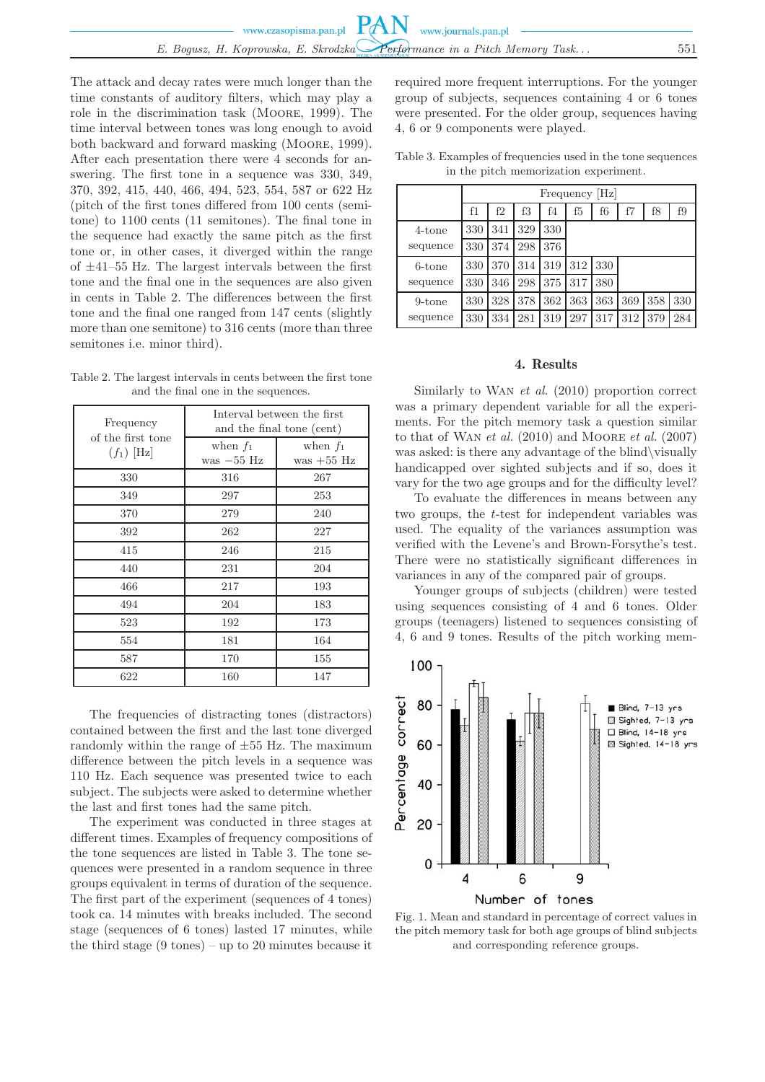The attack and decay rates were much longer than the time constants of auditory filters, which may play a role in the discrimination task (Moore, 1999). The time interval between tones was long enough to avoid both backward and forward masking (Moore, 1999). After each presentation there were 4 seconds for answering. The first tone in a sequence was 330, 349, 370, 392, 415, 440, 466, 494, 523, 554, 587 or 622 Hz (pitch of the first tones differed from 100 cents (semitone) to 1100 cents (11 semitones). The final tone in the sequence had exactly the same pitch as the first tone or, in other cases, it diverged within the range of  $\pm$ 41–55 Hz. The largest intervals between the first tone and the final one in the sequences are also given in cents in Table 2. The differences between the first tone and the final one ranged from 147 cents (slightly more than one semitone) to 316 cents (more than three semitones i.e. minor third).

Table 2. The largest intervals in cents between the first tone and the final one in the sequences.

| Frequency                         | Interval between the first<br>and the final tone (cent) |                            |  |  |  |  |
|-----------------------------------|---------------------------------------------------------|----------------------------|--|--|--|--|
| of the first tone<br>$(f_1)$ [Hz] | when $f_1$<br>$was -55 Hz$                              | when $f_1$<br>$was +55 Hz$ |  |  |  |  |
| 330                               | 316                                                     | 267                        |  |  |  |  |
| 349                               | 297                                                     | 253                        |  |  |  |  |
| 370                               | 279                                                     | 240                        |  |  |  |  |
| 392                               | 262                                                     | 227                        |  |  |  |  |
| 415                               | 246                                                     | 215                        |  |  |  |  |
| 440                               | 231                                                     | 204                        |  |  |  |  |
| 466                               | 217                                                     | 193                        |  |  |  |  |
| 494                               | 204                                                     | 183                        |  |  |  |  |
| 523                               | 192                                                     | 173                        |  |  |  |  |
| 554                               | 181                                                     | 164                        |  |  |  |  |
| 587                               | 170                                                     | 155                        |  |  |  |  |
| 622                               | 160                                                     | 147                        |  |  |  |  |

The frequencies of distracting tones (distractors) contained between the first and the last tone diverged randomly within the range of  $\pm 55$  Hz. The maximum difference between the pitch levels in a sequence was 110 Hz. Each sequence was presented twice to each subject. The subjects were asked to determine whether the last and first tones had the same pitch.

The experiment was conducted in three stages at different times. Examples of frequency compositions of the tone sequences are listed in Table 3. The tone sequences were presented in a random sequence in three groups equivalent in terms of duration of the sequence. The first part of the experiment (sequences of 4 tones) took ca. 14 minutes with breaks included. The second stage (sequences of 6 tones) lasted 17 minutes, while the third stage (9 tones) – up to 20 minutes because it

required more frequent interruptions. For the younger group of subjects, sequences containing 4 or 6 tones were presented. For the older group, sequences having 4, 6 or 9 components were played.

Table 3. Examples of frequencies used in the tone sequences in the pitch memorization experiment.

|          | Frequency  Hz |     |     |                |     |     |     |     |     |
|----------|---------------|-----|-----|----------------|-----|-----|-----|-----|-----|
|          | f1            | f2  | f3  | f <sub>4</sub> | f5  | f6  | f7  | f8  | f9  |
| 4-tone   | 330           | 341 | 329 | 330            |     |     |     |     |     |
| sequence | 330           | 374 | 298 | 376            |     |     |     |     |     |
| 6-tone   | 330           | 370 | 314 | 319            | 312 | 330 |     |     |     |
| sequence | 330           | 346 | 298 | 375            | 317 | 380 |     |     |     |
| 9-tone   | 330           | 328 | 378 | 362            | 363 | 363 | 369 | 358 | 330 |
| sequence | 330           | 334 | 281 | 319            | 297 | 317 | 312 | 379 | 284 |

# 4. Results

Similarly to Wan *et al.* (2010) proportion correct was a primary dependent variable for all the experiments. For the pitch memory task a question similar to that of Wan *et al.* (2010) and Moore *et al.* (2007) was asked: is there any advantage of the blind\visually handicapped over sighted subjects and if so, does it vary for the two age groups and for the difficulty level?

To evaluate the differences in means between any two groups, the t-test for independent variables was used. The equality of the variances assumption was verified with the Levene's and Brown-Forsythe's test. There were no statistically significant differences in variances in any of the compared pair of groups.

Younger groups of subjects (children) were tested using sequences consisting of 4 and 6 tones. Older groups (teenagers) listened to sequences consisting of 4, 6 and 9 tones. Results of the pitch working mem-



Fig. 1. Mean and standard in percentage of correct values in the pitch memory task for both age groups of blind subjects and corresponding reference groups.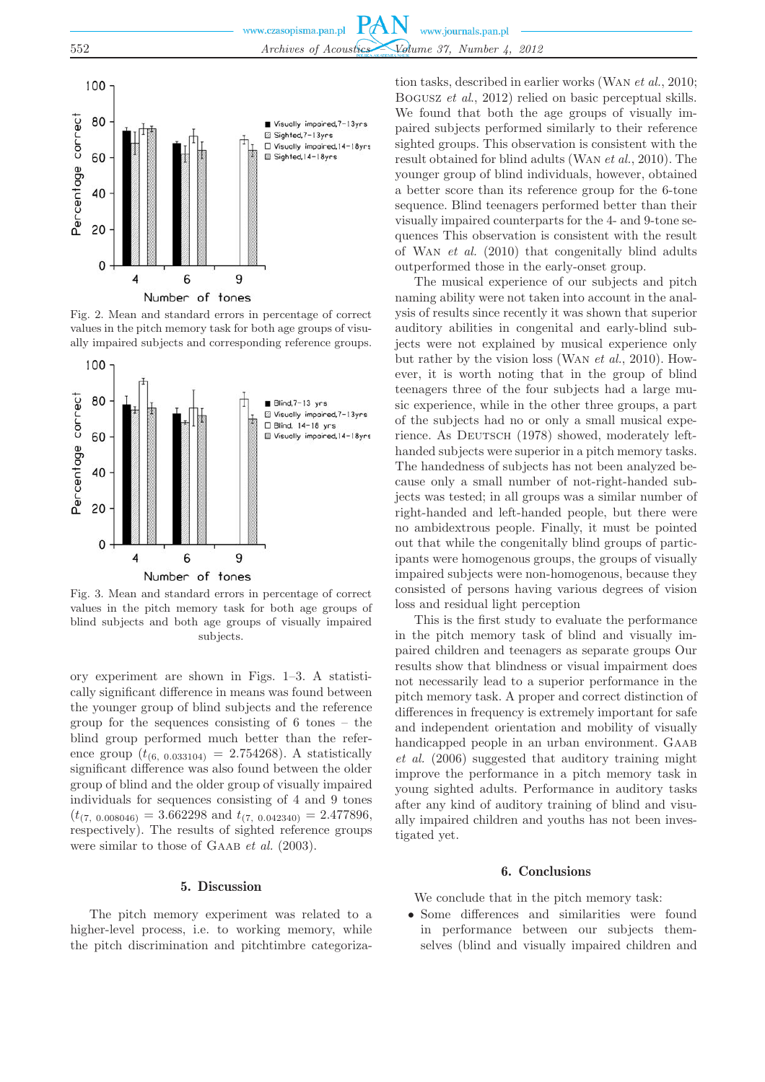

Fig. 2. Mean and standard errors in percentage of correct values in the pitch memory task for both age groups of visually impaired subjects and corresponding reference groups.



Fig. 3. Mean and standard errors in percentage of correct values in the pitch memory task for both age groups of blind subjects and both age groups of visually impaired subjects.

ory experiment are shown in Figs. 1–3. A statistically significant difference in means was found between the younger group of blind subjects and the reference group for the sequences consisting of 6 tones – the blind group performed much better than the reference group  $(t_{(6, 0.033104)} = 2.754268)$ . A statistically significant difference was also found between the older group of blind and the older group of visually impaired individuals for sequences consisting of 4 and 9 tones  $(t_{(7, 0.008046)} = 3.662298$  and  $t_{(7, 0.042340)} = 2.477896$ , respectively). The results of sighted reference groups were similar to those of GAAB *et al.* (2003).

## 5. Discussion

The pitch memory experiment was related to a higher-level process, i.e. to working memory, while the pitch discrimination and pitchtimbre categoriza-

tion tasks, described in earlier works (Wan *et al.*, 2010; Bogusz *et al*., 2012) relied on basic perceptual skills. We found that both the age groups of visually impaired subjects performed similarly to their reference sighted groups. This observation is consistent with the result obtained for blind adults (Wan *et al.*, 2010). The younger group of blind individuals, however, obtained a better score than its reference group for the 6-tone sequence. Blind teenagers performed better than their visually impaired counterparts for the 4- and 9-tone sequences This observation is consistent with the result of Wan *et al.* (2010) that congenitally blind adults outperformed those in the early-onset group.

The musical experience of our subjects and pitch naming ability were not taken into account in the analysis of results since recently it was shown that superior auditory abilities in congenital and early-blind subjects were not explained by musical experience only but rather by the vision loss (Wan *et al.*, 2010). However, it is worth noting that in the group of blind teenagers three of the four subjects had a large music experience, while in the other three groups, a part of the subjects had no or only a small musical experience. As DEUTSCH (1978) showed, moderately lefthanded subjects were superior in a pitch memory tasks. The handedness of subjects has not been analyzed because only a small number of not-right-handed subjects was tested; in all groups was a similar number of right-handed and left-handed people, but there were no ambidextrous people. Finally, it must be pointed out that while the congenitally blind groups of participants were homogenous groups, the groups of visually impaired subjects were non-homogenous, because they consisted of persons having various degrees of vision loss and residual light perception

This is the first study to evaluate the performance in the pitch memory task of blind and visually impaired children and teenagers as separate groups Our results show that blindness or visual impairment does not necessarily lead to a superior performance in the pitch memory task. A proper and correct distinction of differences in frequency is extremely important for safe and independent orientation and mobility of visually handicapped people in an urban environment. GAAB *et al.* (2006) suggested that auditory training might improve the performance in a pitch memory task in young sighted adults. Performance in auditory tasks after any kind of auditory training of blind and visually impaired children and youths has not been investigated yet.

## 6. Conclusions

We conclude that in the pitch memory task:

• Some differences and similarities were found in performance between our subjects themselves (blind and visually impaired children and